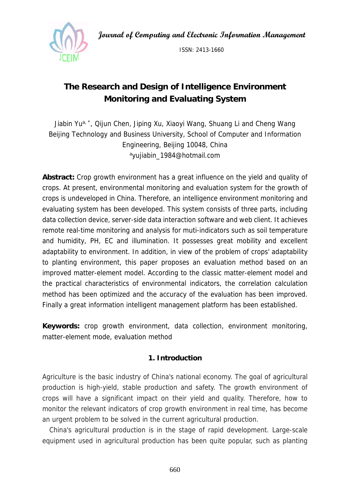**Journal of Computing and Electronic Information Management** 



ISSN: 2413-1660

# **The Research and Design of Intelligence Environment Monitoring and Evaluating System**

Jiabin Yu<sup>a, \*</sup>, Qijun Chen, Jiping Xu, Xiaoyi Wang, Shuang Li and Cheng Wang Beijing Technology and Business University, School of Computer and Information Engineering, Beijing 10048, China ayujiabin\_1984@hotmail.com

**Abstract:** Crop growth environment has a great influence on the yield and quality of crops. At present, environmental monitoring and evaluation system for the growth of crops is undeveloped in China. Therefore, an intelligence environment monitoring and evaluating system has been developed. This system consists of three parts, including data collection device, server-side data interaction software and web client. It achieves remote real-time monitoring and analysis for muti-indicators such as soil temperature and humidity, PH, EC and illumination. It possesses great mobility and excellent adaptability to environment. In addition, in view of the problem of crops' adaptability to planting environment, this paper proposes an evaluation method based on an improved matter-element model. According to the classic matter-element model and the practical characteristics of environmental indicators, the correlation calculation method has been optimized and the accuracy of the evaluation has been improved. Finally a great information intelligent management platform has been established.

**Keywords:** crop growth environment, data collection, environment monitoring, matter-element mode, evaluation method

## **1. Introduction**

Agriculture is the basic industry of China's national economy. The goal of agricultural production is high-yield, stable production and safety. The growth environment of crops will have a significant impact on their yield and quality. Therefore, how to monitor the relevant indicators of crop growth environment in real time, has become an urgent problem to be solved in the current agricultural production.

China's agricultural production is in the stage of rapid development. Large-scale equipment used in agricultural production has been quite popular, such as planting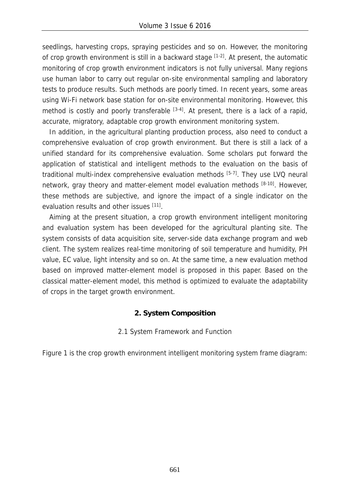seedlings, harvesting crops, spraying pesticides and so on. However, the monitoring of crop growth environment is still in a backward stage [1-2]. At present, the automatic monitoring of crop growth environment indicators is not fully universal. Many regions use human labor to carry out regular on-site environmental sampling and laboratory tests to produce results. Such methods are poorly timed. In recent years, some areas using Wi-Fi network base station for on-site environmental monitoring. However, this method is costly and poorly transferable  $[3-4]$ . At present, there is a lack of a rapid, accurate, migratory, adaptable crop growth environment monitoring system.

In addition, in the agricultural planting production process, also need to conduct a comprehensive evaluation of crop growth environment. But there is still a lack of a unified standard for its comprehensive evaluation. Some scholars put forward the application of statistical and intelligent methods to the evaluation on the basis of traditional multi-index comprehensive evaluation methods [5-7]. They use LVQ neural network, gray theory and matter-element model evaluation methods [8-10]. However, these methods are subjective, and ignore the impact of a single indicator on the evaluation results and other issues [11].

Aiming at the present situation, a crop growth environment intelligent monitoring and evaluation system has been developed for the agricultural planting site. The system consists of data acquisition site, server-side data exchange program and web client. The system realizes real-time monitoring of soil temperature and humidity, PH value, EC value, light intensity and so on. At the same time, a new evaluation method based on improved matter-element model is proposed in this paper. Based on the classical matter-element model, this method is optimized to evaluate the adaptability of crops in the target growth environment.

## **2. System Composition**

2.1 System Framework and Function

Figure 1 is the crop growth environment intelligent monitoring system frame diagram: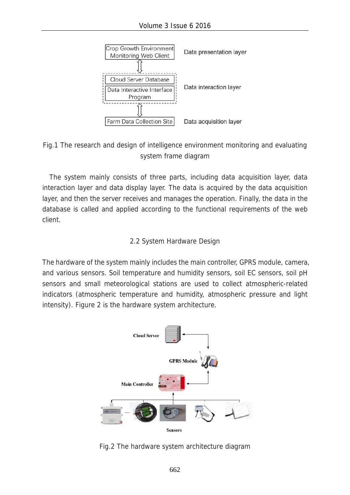

Fig.1 The research and design of intelligence environment monitoring and evaluating system frame diagram

The system mainly consists of three parts, including data acquisition layer, data interaction layer and data display layer. The data is acquired by the data acquisition layer, and then the server receives and manages the operation. Finally, the data in the database is called and applied according to the functional requirements of the web client.

## 2.2 System Hardware Design

The hardware of the system mainly includes the main controller, GPRS module, camera, and various sensors. Soil temperature and humidity sensors, soil EC sensors, soil pH sensors and small meteorological stations are used to collect atmospheric-related indicators (atmospheric temperature and humidity, atmospheric pressure and light intensity). Figure 2 is the hardware system architecture.



Fig.2 The hardware system architecture diagram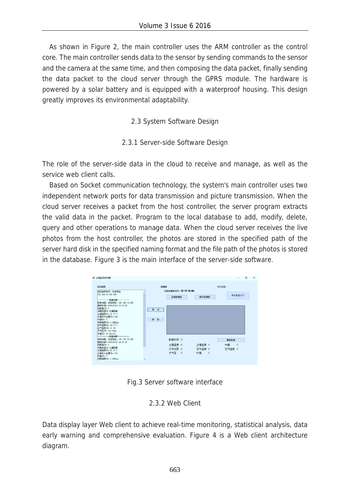As shown in Figure 2, the main controller uses the ARM controller as the control core. The main controller sends data to the sensor by sending commands to the sensor and the camera at the same time, and then composing the data packet, finally sending the data packet to the cloud server through the GPRS module. The hardware is powered by a solar battery and is equipped with a waterproof housing. This design greatly improves its environmental adaptability.

2.3 System Software Design

2.3.1 Server-side Software Design

The role of the server-side data in the cloud to receive and manage, as well as the service web client calls.

Based on Socket communication technology, the system's main controller uses two independent network ports for data transmission and picture transmission. When the cloud server receives a packet from the host controller, the server program extracts the valid data in the packet. Program to the local database to add, modify, delete, query and other operations to manage data. When the cloud server receives the live photos from the host controller, the photos are stored in the specified path of the server hard disk in the specified naming format and the file path of the photos is stored in the database. Figure 3 is the main interface of the server-side software.

| 系统信息                                                                                                                                        |    | <b>共調度</b>              |        | 逆价系统                |
|---------------------------------------------------------------------------------------------------------------------------------------------|----|-------------------------|--------|---------------------|
| 启动监听成功,来自地址<br>192.168.70.241:606<br>一覧提通算→<br>收到消息,来自地址: 192.168.72.225<br>编码时间: 2016/8/24 14:19:22                                        |    | 当前放进度状态: 等待 线接<br>连接的拨座 | 新开助规定  | 评价系统入口              |
| 利肝值为: 1<br>消息血型为:十提数据<br>十段温度为: 21.3°C                                                                                                      | 刑试 |                         |        |                     |
| 土壌水分含量为: 11%<br>PH直力: 7<br>光解器度为: 1.2432.ug<br>空气温度为: 23.7° C                                                                               | 青绿 |                         |        |                     |
|                                                                                                                                             |    |                         |        |                     |
|                                                                                                                                             |    |                         |        |                     |
| <b>白花月白一</b>                                                                                                                                |    | 数据时间 0                  |        | <b>Military III</b> |
| 空气是度为: 17.7%<br>大气压为: 101.3kFa<br>EC语为: 16 Jan/cm<br>收到通程, 来自地址: 192.168.72.225<br>编码封码: 2016/6/24 14:19:25<br><b>料断值为: 1</b><br>消息类型为:土壤数据 |    | 土壤温度 0                  | 土壤温度 0 | PR值<br>$\circ$      |

Fig.3 Server software interface

## 2.3.2 Web Client

Data display layer Web client to achieve real-time monitoring, statistical analysis, data early warning and comprehensive evaluation. Figure 4 is a Web client architecture diagram.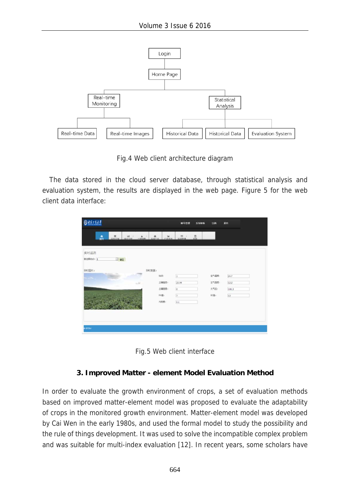

Fig.4 Web client architecture diagram

The data stored in the cloud server database, through statistical analysis and evaluation system, the results are displayed in the web page. Figure 5 for the web client data interface:

| ◎はまさえま                   |                                                  |                | 素品管理                   | 系统草油  | 注销     | 通出    |  |
|--------------------------|--------------------------------------------------|----------------|------------------------|-------|--------|-------|--|
| a.<br>$\frac{1}{2(1+2)}$ | $\frac{160}{160}$<br>$\frac{\lambda}{1000}$<br>× | $\alpha$<br>÷. | $\frac{\pi}{2}$<br>- 8 | $\Xi$ |        |       |  |
| 实时监测                     |                                                  |                |                        |       |        |       |  |
| 请选择结点: 1<br>日曜           |                                                  |                |                        |       |        |       |  |
| 突时图片:                    | 实时期真:                                            |                |                        |       |        |       |  |
| m.                       |                                                  | Mór            | E                      |       | (京都产业) | 24.7  |  |
|                          | $\frac{1}{2}$                                    | 土壤晶质。          | 23.94                  |       | 空气推度)  | 12.2  |  |
|                          |                                                  | 土壤混果:          | Ø.                     |       | 大气压力   | 100.3 |  |
|                          |                                                  | P(H E)         | $\overline{2}$         |       | EC(8)  | 12    |  |
|                          |                                                  | 九师度:           | $0.1\,$                |       |        |       |  |
|                          |                                                  |                |                        |       |        |       |  |
|                          |                                                  |                |                        |       |        |       |  |
|                          |                                                  |                |                        |       |        |       |  |
| <b>UETBO</b>             |                                                  |                |                        |       |        |       |  |



## **3. Improved Matter - element Model Evaluation Method**

In order to evaluate the growth environment of crops, a set of evaluation methods based on improved matter-element model was proposed to evaluate the adaptability of crops in the monitored growth environment. Matter-element model was developed by Cai Wen in the early 1980s, and used the formal model to study the possibility and the rule of things development. It was used to solve the incompatible complex problem and was suitable for multi-index evaluation [12]. In recent years, some scholars have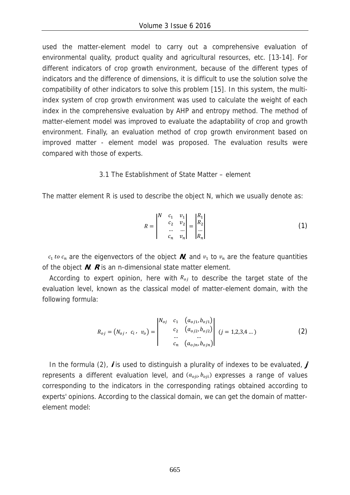used the matter-element model to carry out a comprehensive evaluation of environmental quality, product quality and agricultural resources, etc. [13-14]. For different indicators of crop growth environment, because of the different types of indicators and the difference of dimensions, it is difficult to use the solution solve the compatibility of other indicators to solve this problem [15]. In this system, the multiindex system of crop growth environment was used to calculate the weight of each index in the comprehensive evaluation by AHP and entropy method. The method of matter-element model was improved to evaluate the adaptability of crop and growth environment. Finally, an evaluation method of crop growth environment based on improved matter - element model was proposed. The evaluation results were compared with those of experts.

#### 3.1 The Establishment of State Matter – element

The matter element R is used to describe the object N, which we usually denote as:

$$
R = \begin{vmatrix} N & c_1 & v_1 \\ c_2 & v_2 \\ \dots & \dots \\ c_n & v_n \end{vmatrix} = \begin{vmatrix} R_1 \\ R_2 \\ \dots \\ R_n \end{vmatrix}
$$
 (1)

 $c_1$  to  $c_n$  are the eigenvectors of the object  $N$ , and  $v_1$  to  $v_n$  are the feature quantities of the object **N**. **R** is an n-dimensional state matter element.

According to expert opinion, here with  $R_{oj}$  to describe the target state of the evaluation level, known as the classical model of matter-element domain, with the following formula:

$$
R_{oj} = (N_{oj}, c_i, v_o) = \begin{vmatrix} N_{oj} & c_1 & (a_{oj1}, b_{oj1}) \\ c_2 & (a_{oj2}, b_{oj2}) \\ \dots & \dots & \dots \\ c_n & (a_{ojn}, b_{ojn}) \end{vmatrix} (j = 1, 2, 3, 4 \dots)
$$
 (2)

In the formula (2), **<sup>i</sup>** is used to distinguish a plurality of indexes to be evaluated, **j** represents a different evaluation level, and  $(a_{oji}, b_{oji})$  expresses a range of values corresponding to the indicators in the corresponding ratings obtained according to experts' opinions. According to the classical domain, we can get the domain of matterelement model: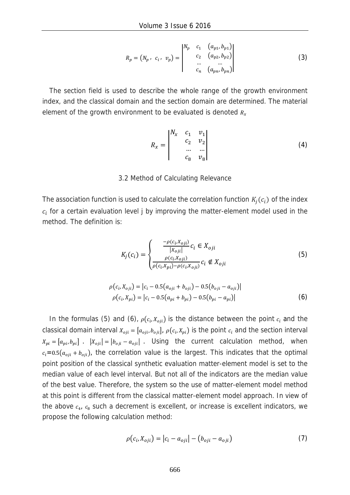$$
R_p = (N_p, c_i, v_p) = \begin{vmatrix} N_p & c_1 & (a_{p1}, b_{p1}) \\ c_2 & (a_{p2}, b_{p2}) \\ \dots & \dots \\ c_n & (a_{pn}, b_{pn}) \end{vmatrix}
$$
 (3)

The section field is used to describe the whole range of the growth environment index, and the classical domain and the section domain are determined. The material element of the growth environment to be evaluated is denoted  $R<sub>x</sub>$ 

$$
R_x = \begin{vmatrix} N_x & c_1 & v_1 \\ & c_2 & v_2 \\ & \dots & \dots \\ & & c_8 & v_8 \end{vmatrix}
$$
 (4)

#### 3.2 Method of Calculating Relevance

The association function is used to calculate the correlation function  $K_i(c_i)$  of the index  $c_i$  for a certain evaluation level j by improving the matter-element model used in the method. The definition is:

$$
K_j(c_i) = \begin{cases} \frac{-\rho(c_i, X_{oji})}{|X_{oji}|} c_i \in X_{oji} \\ \frac{\rho(c_i, X_{oji})}{\rho(c_i, X_{pii}) - \rho(c_i, X_{oji})} c_i \notin X_{oji} \end{cases}
$$
(5)

$$
\rho(c_i, X_{oji}) = |c_i - 0.5(a_{oji} + b_{oji}) - 0.5(b_{oji} - a_{oji})|
$$
  
\n
$$
\rho(c_i, X_{pi}) = |c_i - 0.5(a_{pi} + b_{pi}) - 0.5(b_{pi} - a_{pi})|
$$
\n(6)

In the formulas (5) and (6),  $\rho(c_i, X_{0i})$  is the distance between the point  $c_i$  and the classical domain interval  $X_{oji} = [a_{oji}, b_{oji}]$ ,  $\rho(c_i, X_{pi})$  is the point  $c_i$  and the section interval  $X_{pi} = [a_{pi}, b_{pi}]$  .  $|X_{theta}| = |b_{theta} - a_{theta}|$  . Using the current calculation method, when  $c_i = 0.5(a_{oji} + b_{oji})$ , the correlation value is the largest. This indicates that the optimal point position of the classical synthetic evaluation matter-element model is set to the median value of each level interval. But not all of the indicators are the median value of the best value. Therefore, the system so the use of matter-element model method at this point is different from the classical matter-element model approach. In view of the above  $c_4$ ,  $c_8$  such a decrement is excellent, or increase is excellent indicators, we propose the following calculation method:

$$
\rho(c_i, X_{0ji}) = |c_i - a_{0ji}| - (b_{0ji} - a_{0ji})
$$
\n(7)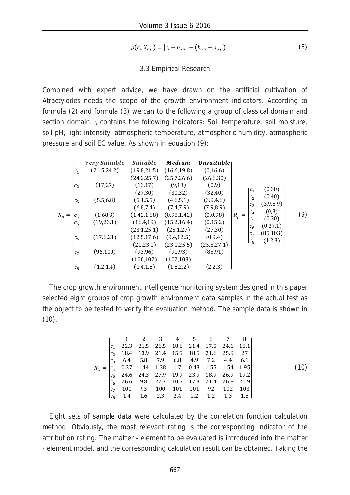$$
\rho(c_i, X_{0ji}) = |c_i - b_{0ji}| - (b_{0ji} - a_{0ji})
$$
\n(8)

#### 3.3 Empirical Research

Combined with expert advice, we have drawn on the artificial cultivation of Atractylodes needs the scope of the growth environment indicators. According to formula (2) and formula (3) we can to the following a group of classical domain and section domain.  $c_i$  contains the following indicators: Soil temperature, soil moisture, soil pH, light intensity, atmospheric temperature, atmospheric humidity, atmospheric pressure and soil EC value. As shown in equation (9):

|                |                    | Very Suitable | <i>Suitable</i> | <b>Medium</b> | Unsuitable   |                                  |                     |     |
|----------------|--------------------|---------------|-----------------|---------------|--------------|----------------------------------|---------------------|-----|
|                | $c_{1}$            | (21.5, 24.2)  | (19.8, 21.5)    | (16.6, 19.8)  | (0, 16.6)    |                                  |                     |     |
|                |                    |               | (24.2, 25.7)    | (25.7, 26.6)  | (26.6, 30)   |                                  |                     |     |
|                | $\boldsymbol{c}_2$ | (17,27)       | (13,17)         | (9,13)        | (0,9)        |                                  |                     |     |
|                |                    |               | (27, 30)        | (30, 32)      | (32, 40)     | $ c_1 $                          | (0,30)              |     |
|                | $c_3$              | (5.5, 6.8)    | (5.1, 5.5)      | (4.6, 5.1)    | (3.9, 4.6)   | c <sub>2</sub>                   | (0, 40)             |     |
|                |                    |               | (6.8, 7.4)      | (7.4, 7.9)    | (7.9, 8.9)   | $c_3$                            | (3.9, 8.9)<br>(0,3) |     |
| $R_{\alpha} =$ | $c_4$              | (1.68, 3)     | (1.42, 1.68)    | (0.98, 1.42)  | (0,0.98)     | $ c_4 $<br>$R_p$<br>$=$          | (0,30)              | (9) |
|                | $c_{5}$            | (19, 23.1)    | (16.4, 19)      | (15.2, 16.4)  | (0, 15.2)    | $c_{5}$                          | (0, 27.1)           |     |
|                |                    |               | (23.1, 25.1)    | (25.1, 27)    | (27, 30)     | c <sub>6</sub><br>c <sub>7</sub> | (85, 103)           |     |
|                | $c_{6}$            | (17.6,21)     | (12.5, 17.6)    | (9.4, 12.5)   | (0.9.4)      |                                  | (1.2,3)             |     |
|                |                    |               | (21, 23.1)      | (23.1, 25.5)  | (25.5, 27.1) | $\mathsf{L}_8$                   |                     |     |
|                | $c_7$              | (96, 100)     | (93, 96)        | (91, 93)      | (85, 91)     |                                  |                     |     |
|                |                    |               | (100, 102)      | (102, 103)    |              |                                  |                     |     |
|                | $c_8$              | (1.2, 1.4)    | (1.4, 1.8)      | (1.8, 2.2)    | (2.2,3)      |                                  |                     |     |

The crop growth environment intelligence monitoring system designed in this paper selected eight groups of crop growth environment data samples in the actual test as the object to be tested to verify the evaluation method. The sample data is shown in  $(10).$ 

| \n $\begin{bmatrix}\n 1 & 2 & 3 & 4 & 5 & 6 & 7 & 8 \\ c_1 & 22.3 & 21.5 & 26.5 & 18.6 & 21.4 & 17.5 & 24.1 & 18.1 \\ c_2 & 18.4 & 13.9 & 21.4 & 15.5 & 18.5 & 21.6 & 25.9 & 27 \\ c_3 & 6.4 & 5.8 & 7.9 & 6.8 & 4.9 & 7.2 & 4.4 & 6.1 \\ c_4 & 0.37 & 1.44 & 1.38 & 1.7 & 0.43 & 1.55 & 1.54 & 1.95 \\ c_5 & 24.6 & 24.3 & 27.9 & 19.9 & 23.9 & 18.9 & 26.9 & 19.2 \\ c_6 & 26.6 & 9.8 & 22.7 & 10.5 & 17.3 & 21.4 & 26.8 & 21.9 \\ c_7 & 100 & 93 & 100 & 101 & 101 & 92 & 102 & 103 \\ c_8 & 1.4 & 1.6 & 2.3 & 2.4 & 1.2 & 1.2 & 1.3 & 1.8\n \end{bmatrix}$ \n |
|-------------------------------------------------------------------------------------------------------------------------------------------------------------------------------------------------------------------------------------------------------------------------------------------------------------------------------------------------------------------------------------------------------------------------------------------------------------------------------------------------------------------------------------------------------------------|
|-------------------------------------------------------------------------------------------------------------------------------------------------------------------------------------------------------------------------------------------------------------------------------------------------------------------------------------------------------------------------------------------------------------------------------------------------------------------------------------------------------------------------------------------------------------------|

Eight sets of sample data were calculated by the correlation function calculation method. Obviously, the most relevant rating is the corresponding indicator of the attribution rating. The matter - element to be evaluated is introduced into the matter - element model, and the corresponding calculation result can be obtained. Taking the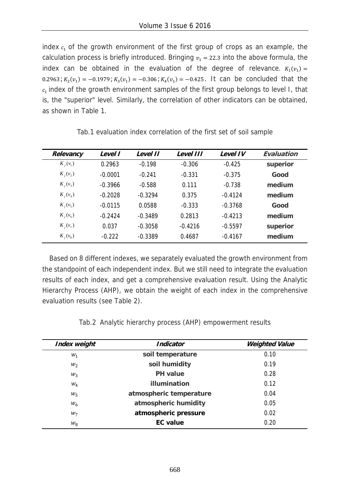index  $c<sub>1</sub>$  of the growth environment of the first group of crops as an example, the calculation process is briefly introduced. Bringing  $v_1 = 22.3$  into the above formula, the index can be obtained in the evaluation of the degree of relevance.  $K_1(v_1) =$  $0.2963$ ;  $K_2(v_1) = -0.1979$ ;  $K_3(v_1) = -0.306$ ;  $K_4(v_1) = -0.425$ . It can be concluded that the  $c<sub>1</sub>$  index of the growth environment samples of the first group belongs to level I, that is, the "superior" level. Similarly, the correlation of other indicators can be obtained, as shown in Table 1.

| Relevancy      | Level I   | Level II  | Level III | Level IV  | Evaluation |
|----------------|-----------|-----------|-----------|-----------|------------|
| $K_{i}(v_{1})$ | 0.2963    | $-0.198$  | $-0.306$  | $-0.425$  | superior   |
| $K_i(v_2)$     | $-0.0001$ | $-0.241$  | $-0.331$  | $-0.375$  | Good       |
| $K_{i}(v_{3})$ | $-0.3966$ | $-0.588$  | 0.111     | $-0.738$  | medium     |
| $K_{i}(v_{4})$ | $-0.2028$ | $-0.3294$ | 0.375     | $-0.4124$ | medium     |
| $K_{i}(v_{5})$ | $-0.0115$ | 0.0588    | $-0.333$  | $-0.3768$ | Good       |
| $K_i(v_6)$     | $-0.2424$ | $-0.3489$ | 0.2813    | $-0.4213$ | medium     |
| $K_{i}(v_{7})$ | 0.037     | $-0.3058$ | $-0.4216$ | $-0.5597$ | superior   |
| $K_i(v_8)$     | $-0.222$  | $-0.3389$ | 0.4687    | $-0.4167$ | medium     |

Tab.1 evaluation index correlation of the first set of soil sample

Based on 8 different indexes, we separately evaluated the growth environment from the standpoint of each independent index. But we still need to integrate the evaluation results of each index, and get a comprehensive evaluation result. Using the Analytic Hierarchy Process (AHP), we obtain the weight of each index in the comprehensive evaluation results (see Table 2).

| Index weight | <b>Indicator</b>        | <b>Weighted Value</b> |
|--------------|-------------------------|-----------------------|
| $W_1$        | soil temperature        | 0.10                  |
| $W_2$        | soil humidity           | 0.19                  |
| $W_3$        | <b>PH</b> value         | 0.28                  |
| $W_4$        | illumination            | 0.12                  |
| $W_5$        | atmospheric temperature | 0.04                  |
| $W_6$        | atmospheric humidity    | 0.05                  |
| $W_7$        | atmospheric pressure    | 0.02                  |
| $W_{\rm R}$  | <b>EC</b> value         | 0.20                  |

Tab.2 Analytic hierarchy process (AHP) empowerment results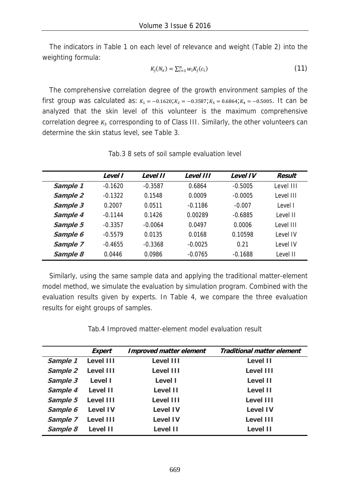The indicators in Table 1 on each level of relevance and weight (Table 2) into the weighting formula:

$$
K_j(N_x) = \sum_{i=1}^n w_i K_j(c_i)
$$
 (11)

The comprehensive correlation degree of the growth environment samples of the first group was calculated as:  $K_1 = -0.1620$ ; $K_2 = -0.3587$ ; $K_3 = 0.6864$ ; $K_4 = -0.5005$ . It can be analyzed that the skin level of this volunteer is the maximum comprehensive correlation degree  $K_3$  corresponding to of Class III. Similarly, the other volunteers can determine the skin status level, see Table 3.

|          | Level I   | Level II  | Level III | <b>Level IV</b> | <b>Result</b> |
|----------|-----------|-----------|-----------|-----------------|---------------|
| Sample 1 | $-0.1620$ | $-0.3587$ | 0.6864    | $-0.5005$       | Level III     |
| Sample 2 | $-0.1322$ | 0.1548    | 0.0009    | $-0.0005$       | Level III     |
| Sample 3 | 0.2007    | 0.0511    | $-0.1186$ | $-0.007$        | Level I       |
| Sample 4 | $-0.1144$ | 0.1426    | 0.00289   | $-0.6885$       | Level II      |
| Sample 5 | $-0.3357$ | $-0.0064$ | 0.0497    | 0.0006          | Level III     |
| Sample 6 | $-0.5579$ | 0.0135    | 0.0168    | 0.10598         | Level IV      |
| Sample 7 | $-0.4655$ | $-0.3368$ | $-0.0025$ | 0.21            | Level IV      |
| Sample 8 | 0.0446    | 0.0986    | $-0.0765$ | $-0.1688$       | Level II      |

Tab.3 8 sets of soil sample evaluation level

Similarly, using the same sample data and applying the traditional matter-element model method, we simulate the evaluation by simulation program. Combined with the evaluation results given by experts. In Table 4, we compare the three evaluation results for eight groups of samples.

Tab.4 Improved matter-element model evaluation result

|          | Expert          | <b>Improved matter element</b> | <b>Traditional matter element</b> |
|----------|-----------------|--------------------------------|-----------------------------------|
| Sample 1 | Level III       | Level III                      | Level II                          |
| Sample 2 | Level III       | Level III                      | Level III                         |
| Sample 3 | Level I         | Level I                        | Level II                          |
| Sample 4 | Level II        | Level II                       | Level II                          |
| Sample 5 | Level III       | Level III                      | Level III                         |
| Sample 6 | <b>Level IV</b> | <b>Level IV</b>                | <b>Level IV</b>                   |
| Sample 7 | Level III       | <b>Level IV</b>                | Level III                         |
| Sample 8 | Level II        | Level II                       | Level II                          |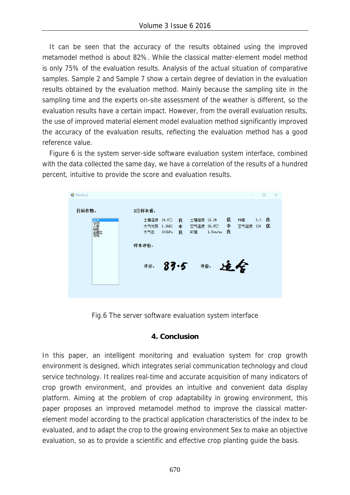It can be seen that the accuracy of the results obtained using the improved metamodel method is about 82%. While the classical matter-element model method is only 75% of the evaluation results. Analysis of the actual situation of comparative samples. Sample 2 and Sample 7 show a certain degree of deviation in the evaluation results obtained by the evaluation method. Mainly because the sampling site in the sampling time and the experts on-site assessment of the weather is different, so the evaluation results have a certain impact. However, from the overall evaluation results, the use of improved material element model evaluation method significantly improved the accuracy of the evaluation results, reflecting the evaluation method has a good reference value.

Figure 6 is the system server-side software evaluation system interface, combined with the data collected the same day, we have a correlation of the results of a hundred percent, intuitive to provide the score and evaluation results.



Fig.6 The server software evaluation system interface

## **4. Conclusion**

In this paper, an intelligent monitoring and evaluation system for crop growth environment is designed, which integrates serial communication technology and cloud service technology. It realizes real-time and accurate acquisition of many indicators of crop growth environment, and provides an intuitive and convenient data display platform. Aiming at the problem of crop adaptability in growing environment, this paper proposes an improved metamodel method to improve the classical matterelement model according to the practical application characteristics of the index to be evaluated, and to adapt the crop to the growing environment Sex to make an objective evaluation, so as to provide a scientific and effective crop planting guide the basis.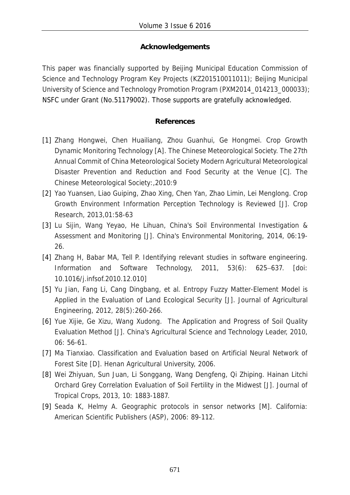# **Acknowledgements**

This paper was financially supported by Beijing Municipal Education Commission of Science and Technology Program Key Projects (KZ201510011011); Beijing Municipal University of Science and Technology Promotion Program (PXM2014\_014213\_000033); NSFC under Grant (No.51179002). Those supports are gratefully acknowledged.

## **References**

- [1] Zhang Hongwei, Chen Huailiang, Zhou Guanhui, Ge Hongmei. Crop Growth Dynamic Monitoring Technology [A]. The Chinese Meteorological Society. The 27th Annual Commit of China Meteorological Society Modern Agricultural Meteorological Disaster Prevention and Reduction and Food Security at the Venue [C]. The Chinese Meteorological Society:,2010:9
- [2] Yao Yuansen, Liao Guiping, Zhao Xing, Chen Yan, Zhao Limin, Lei Menglong. Crop Growth Environment Information Perception Technology is Reviewed [J]. Crop Research, 2013,01:58-63
- [3] Lu Sijin, Wang Yeyao, He Lihuan, China's Soil Environmental Investigation & Assessment and Monitoring [J]. China's Environmental Monitoring, 2014, 06:19- 26.
- [4] Zhang H, Babar MA, Tell P. Identifying relevant studies in software engineering. Information and Software Technology, 2011, 53(6): 625–637. [doi: 10.1016/j.infsof.2010.12.010]
- [5] Yu Jian, Fang Li, Cang Dingbang, et al. Entropy Fuzzy Matter-Element Model is Applied in the Evaluation of Land Ecological Security [J]. Journal of Agricultural Engineering, 2012, 28(5):260-266.
- [6] Yue Xijie, Ge Xizu, Wang Xudong. The Application and Progress of Soil Quality Evaluation Method [J]. China's Agricultural Science and Technology Leader, 2010, 06: 56-61.
- [7] Ma Tianxiao. Classification and Evaluation based on Artificial Neural Network of Forest Site [D]. Henan Agricultural University, 2006.
- [8] Wei Zhiyuan, Sun Juan, Li Songgang, Wang Dengfeng, Qi Zhiping. Hainan Litchi Orchard Grey Correlation Evaluation of Soil Fertility in the Midwest [J]. Journal of Tropical Crops, 2013, 10: 1883-1887.
- [9] Seada K, Helmy A. Geographic protocols in sensor networks [M]. California: American Scientific Publishers (ASP), 2006: 89-112.